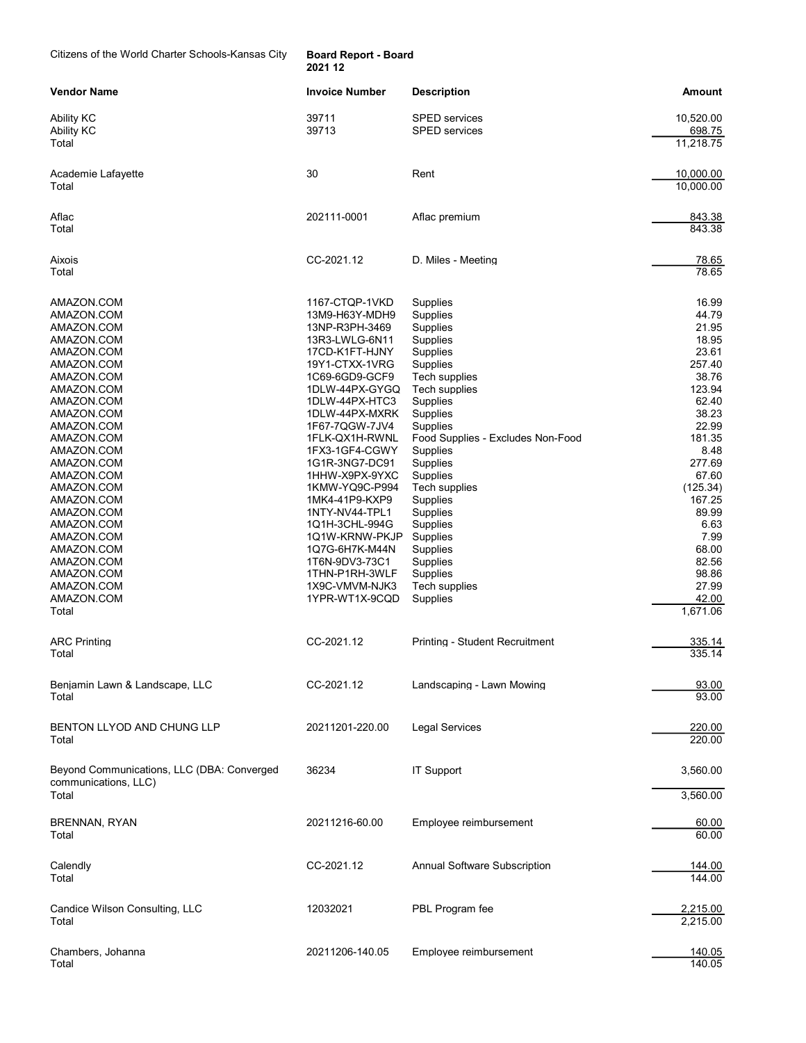Citizens of the World Charter Schools-Kansas City Board Report - Board

2021 12

| Vendor Name                                                                                                                                                                                                                                                                                                                                                         | <b>Invoice Number</b>                                                                                                                                                                                                                                                                                                                                                                                                                                          | <b>Description</b>                                                                                                                                                                                                                                                                                                                                                                                     | Amount                                                                                                                                                                                                                                         |
|---------------------------------------------------------------------------------------------------------------------------------------------------------------------------------------------------------------------------------------------------------------------------------------------------------------------------------------------------------------------|----------------------------------------------------------------------------------------------------------------------------------------------------------------------------------------------------------------------------------------------------------------------------------------------------------------------------------------------------------------------------------------------------------------------------------------------------------------|--------------------------------------------------------------------------------------------------------------------------------------------------------------------------------------------------------------------------------------------------------------------------------------------------------------------------------------------------------------------------------------------------------|------------------------------------------------------------------------------------------------------------------------------------------------------------------------------------------------------------------------------------------------|
| Ability KC<br><b>Ability KC</b><br>Total                                                                                                                                                                                                                                                                                                                            | 39711<br>39713                                                                                                                                                                                                                                                                                                                                                                                                                                                 | SPED services<br><b>SPED</b> services                                                                                                                                                                                                                                                                                                                                                                  | 10,520.00<br>698.75<br>11,218.75                                                                                                                                                                                                               |
| Academie Lafayette<br>Total                                                                                                                                                                                                                                                                                                                                         | 30                                                                                                                                                                                                                                                                                                                                                                                                                                                             | Rent                                                                                                                                                                                                                                                                                                                                                                                                   | 10,000.00<br>10,000.00                                                                                                                                                                                                                         |
| Aflac<br>Total                                                                                                                                                                                                                                                                                                                                                      | 202111-0001                                                                                                                                                                                                                                                                                                                                                                                                                                                    | Aflac premium                                                                                                                                                                                                                                                                                                                                                                                          | 843.38<br>843.38                                                                                                                                                                                                                               |
| Aixois<br>Total                                                                                                                                                                                                                                                                                                                                                     | CC-2021.12                                                                                                                                                                                                                                                                                                                                                                                                                                                     | D. Miles - Meeting                                                                                                                                                                                                                                                                                                                                                                                     | 78.65<br>78.65                                                                                                                                                                                                                                 |
| AMAZON.COM<br>AMAZON.COM<br>AMAZON.COM<br>AMAZON.COM<br>AMAZON.COM<br>AMAZON.COM<br>AMAZON.COM<br>AMAZON.COM<br>AMAZON.COM<br>AMAZON.COM<br>AMAZON.COM<br>AMAZON.COM<br>AMAZON.COM<br>AMAZON.COM<br>AMAZON.COM<br>AMAZON.COM<br>AMAZON.COM<br>AMAZON.COM<br>AMAZON.COM<br>AMAZON.COM<br>AMAZON.COM<br>AMAZON.COM<br>AMAZON.COM<br>AMAZON.COM<br>AMAZON.COM<br>Total | 1167-CTQP-1VKD<br>13M9-H63Y-MDH9<br>13NP-R3PH-3469<br>13R3-LWLG-6N11<br>17CD-K1FT-HJNY<br>19Y1-CTXX-1VRG<br>1C69-6GD9-GCF9<br>1DLW-44PX-GYGQ<br>1DLW-44PX-HTC3<br>1DLW-44PX-MXRK<br>1F67-7QGW-7JV4<br>1FLK-QX1H-RWNL<br>1FX3-1GF4-CGWY<br>1G1R-3NG7-DC91<br>1HHW-X9PX-9YXC<br>1KMW-YQ9C-P994<br>1MK4-41P9-KXP9<br>1NTY-NV44-TPL1<br>1Q1H-3CHL-994G<br>1Q1W-KRNW-PKJP<br>1Q7G-6H7K-M44N<br>1T6N-9DV3-73C1<br>1THN-P1RH-3WLF<br>1X9C-VMVM-NJK3<br>1YPR-WT1X-9CQD | Supplies<br>Supplies<br>Supplies<br><b>Supplies</b><br><b>Supplies</b><br>Supplies<br>Tech supplies<br>Tech supplies<br><b>Supplies</b><br><b>Supplies</b><br>Supplies<br>Food Supplies - Excludes Non-Food<br>Supplies<br><b>Supplies</b><br>Supplies<br>Tech supplies<br>Supplies<br>Supplies<br>Supplies<br>Supplies<br><b>Supplies</b><br><b>Supplies</b><br>Supplies<br>Tech supplies<br>Supplies | 16.99<br>44.79<br>21.95<br>18.95<br>23.61<br>257.40<br>38.76<br>123.94<br>62.40<br>38.23<br>22.99<br>181.35<br>8.48<br>277.69<br>67.60<br>(125.34)<br>167.25<br>89.99<br>6.63<br>7.99<br>68.00<br>82.56<br>98.86<br>27.99<br>42.00<br>1,671.06 |
| <b>ARC Printing</b><br>Total                                                                                                                                                                                                                                                                                                                                        | CC-2021.12                                                                                                                                                                                                                                                                                                                                                                                                                                                     | Printing - Student Recruitment                                                                                                                                                                                                                                                                                                                                                                         | 335.14<br>335.14                                                                                                                                                                                                                               |
| Benjamin Lawn & Landscape, LLC<br>Total                                                                                                                                                                                                                                                                                                                             | CC-2021.12                                                                                                                                                                                                                                                                                                                                                                                                                                                     | Landscaping - Lawn Mowing                                                                                                                                                                                                                                                                                                                                                                              | 93.00<br>93.00                                                                                                                                                                                                                                 |
| BENTON LLYOD AND CHUNG LLP<br>Total                                                                                                                                                                                                                                                                                                                                 | 20211201-220.00                                                                                                                                                                                                                                                                                                                                                                                                                                                | <b>Legal Services</b>                                                                                                                                                                                                                                                                                                                                                                                  | 220.00<br>220.00                                                                                                                                                                                                                               |
| Beyond Communications, LLC (DBA: Converged<br>communications, LLC)<br>Total                                                                                                                                                                                                                                                                                         | 36234                                                                                                                                                                                                                                                                                                                                                                                                                                                          | <b>IT Support</b>                                                                                                                                                                                                                                                                                                                                                                                      | 3,560.00<br>3,560.00                                                                                                                                                                                                                           |
| <b>BRENNAN, RYAN</b><br>Total                                                                                                                                                                                                                                                                                                                                       | 20211216-60.00                                                                                                                                                                                                                                                                                                                                                                                                                                                 | Employee reimbursement                                                                                                                                                                                                                                                                                                                                                                                 | 60.00<br>60.00                                                                                                                                                                                                                                 |
| Calendly<br>Total                                                                                                                                                                                                                                                                                                                                                   | CC-2021.12                                                                                                                                                                                                                                                                                                                                                                                                                                                     | <b>Annual Software Subscription</b>                                                                                                                                                                                                                                                                                                                                                                    | 144.00<br>144.00                                                                                                                                                                                                                               |
| Candice Wilson Consulting, LLC<br>Total                                                                                                                                                                                                                                                                                                                             | 12032021                                                                                                                                                                                                                                                                                                                                                                                                                                                       | PBL Program fee                                                                                                                                                                                                                                                                                                                                                                                        | 2,215.00<br>2,215.00                                                                                                                                                                                                                           |
| Chambers, Johanna<br>Total                                                                                                                                                                                                                                                                                                                                          | 20211206-140.05                                                                                                                                                                                                                                                                                                                                                                                                                                                | Employee reimbursement                                                                                                                                                                                                                                                                                                                                                                                 | 140.05<br>140.05                                                                                                                                                                                                                               |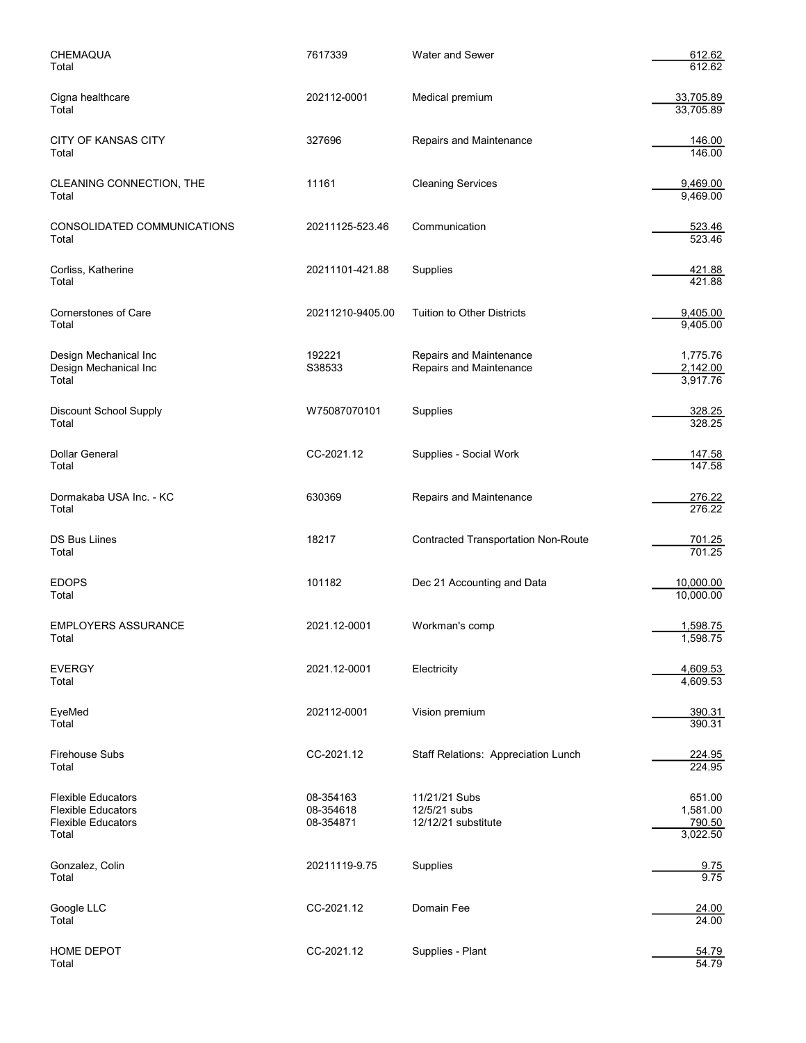| CHEMAQUA<br>Total                                                                            | 7617339                             | <b>Water and Sewer</b>                               | 612.62<br>612.62                         |
|----------------------------------------------------------------------------------------------|-------------------------------------|------------------------------------------------------|------------------------------------------|
| Cigna healthcare<br>Total                                                                    | 202112-0001                         | Medical premium                                      | 33,705.89<br>33,705.89                   |
| CITY OF KANSAS CITY<br>Total                                                                 | 327696                              | Repairs and Maintenance                              | 146.00<br>146.00                         |
| CLEANING CONNECTION, THE<br>Total                                                            | 11161                               | <b>Cleaning Services</b>                             | 9,469.00<br>9,469.00                     |
| CONSOLIDATED COMMUNICATIONS<br>Total                                                         | 20211125-523.46                     | Communication                                        | 523.46<br>523.46                         |
| Corliss, Katherine<br>Total                                                                  | 20211101-421.88                     | Supplies                                             | 421.88<br>421.88                         |
| Cornerstones of Care<br>Total                                                                | 20211210-9405.00                    | <b>Tuition to Other Districts</b>                    | 9,405.00<br>9,405.00                     |
| Design Mechanical Inc<br>Design Mechanical Inc<br>Total                                      | 192221<br>S38533                    | Repairs and Maintenance<br>Repairs and Maintenance   | 1,775.76<br>2,142.00<br>3,917.76         |
| Discount School Supply<br>Total                                                              | W75087070101                        | Supplies                                             | 328.25<br>328.25                         |
| Dollar General<br>Total                                                                      | CC-2021.12                          | Supplies - Social Work                               | <u>147.58</u><br>147.58                  |
| Dormakaba USA Inc. - KC<br>Total                                                             | 630369                              | Repairs and Maintenance                              | 276.22<br>276.22                         |
| DS Bus Liines<br>Total                                                                       | 18217                               | <b>Contracted Transportation Non-Route</b>           | 701.25<br>701.25                         |
| <b>EDOPS</b><br>Total                                                                        | 101182                              | Dec 21 Accounting and Data                           | 10,000.00<br>10,000.00                   |
| <b>EMPLOYERS ASSURANCE</b><br>Total                                                          | 2021.12-0001                        | Workman's comp                                       | 1,598.75<br>1,598.75                     |
| <b>EVERGY</b><br>Total                                                                       | 2021.12-0001                        | Electricity                                          | 4,609.53<br>4,609.53                     |
| EyeMed<br>Total                                                                              | 202112-0001                         | Vision premium                                       | 390.31<br>390.31                         |
| <b>Firehouse Subs</b><br>Total                                                               | CC-2021.12                          | <b>Staff Relations: Appreciation Lunch</b>           | 224.95<br>224.95                         |
| <b>Flexible Educators</b><br><b>Flexible Educators</b><br><b>Flexible Educators</b><br>Total | 08-354163<br>08-354618<br>08-354871 | 11/21/21 Subs<br>12/5/21 subs<br>12/12/21 substitute | 651.00<br>1,581.00<br>790.50<br>3,022.50 |
| Gonzalez, Colin<br>Total                                                                     | 20211119-9.75                       | Supplies                                             | 9.75<br>9.75                             |
| Google LLC<br>Total                                                                          | CC-2021.12                          | Domain Fee                                           | 24.00<br>24.00                           |
| HOME DEPOT<br>Total                                                                          | CC-2021.12                          | Supplies - Plant                                     | 54.79<br>54.79                           |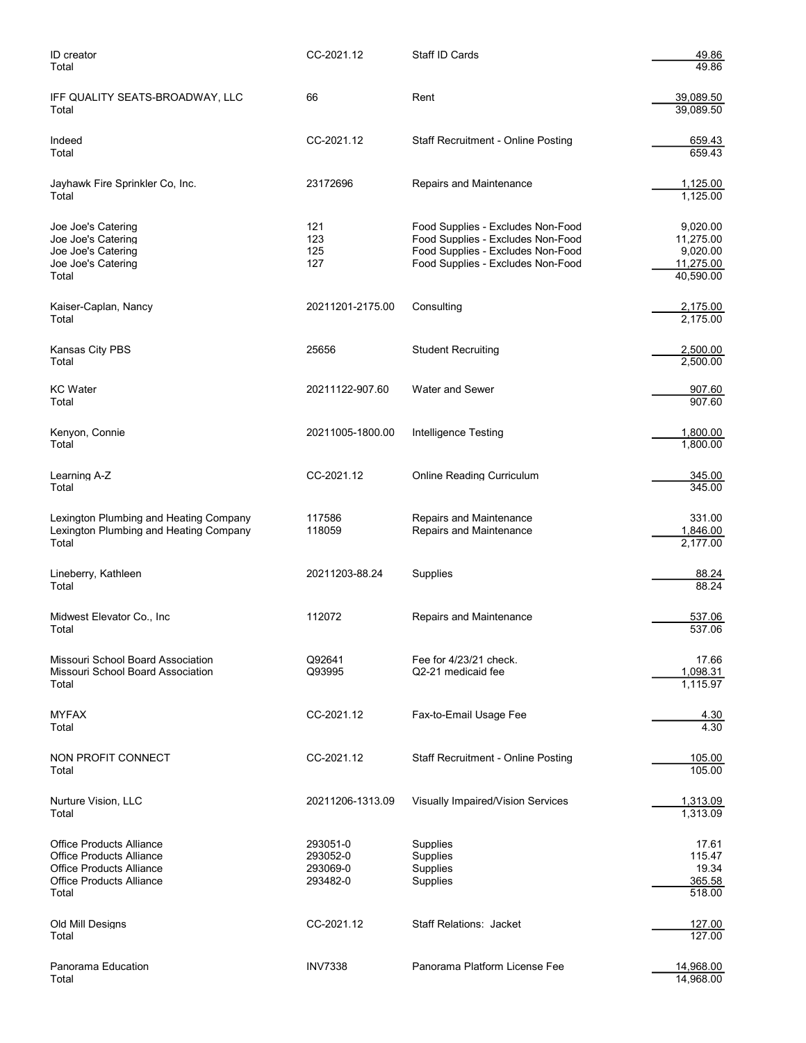| ID creator<br>Total                                                                                                                        | CC-2021.12                                   | Staff ID Cards                                                                                                                                   | 49.86<br>49.86                                              |
|--------------------------------------------------------------------------------------------------------------------------------------------|----------------------------------------------|--------------------------------------------------------------------------------------------------------------------------------------------------|-------------------------------------------------------------|
| IFF QUALITY SEATS-BROADWAY, LLC<br>Total                                                                                                   | 66                                           | Rent                                                                                                                                             | 39,089.50<br>39,089.50                                      |
| Indeed<br>Total                                                                                                                            | CC-2021.12                                   | <b>Staff Recruitment - Online Posting</b>                                                                                                        | 659.43<br>659.43                                            |
| Jayhawk Fire Sprinkler Co, Inc.<br>Total                                                                                                   | 23172696                                     | Repairs and Maintenance                                                                                                                          | 1,125.00<br>1,125.00                                        |
| Joe Joe's Catering<br>Joe Joe's Catering<br>Joe Joe's Catering<br>Joe Joe's Catering<br>Total                                              | 121<br>123<br>125<br>127                     | Food Supplies - Excludes Non-Food<br>Food Supplies - Excludes Non-Food<br>Food Supplies - Excludes Non-Food<br>Food Supplies - Excludes Non-Food | 9,020.00<br>11,275.00<br>9,020.00<br>11,275.00<br>40,590.00 |
| Kaiser-Caplan, Nancy<br>Total                                                                                                              | 20211201-2175.00                             | Consulting                                                                                                                                       | 2,175.00<br>2.175.00                                        |
| Kansas City PBS<br>Total                                                                                                                   | 25656                                        | <b>Student Recruiting</b>                                                                                                                        | 2,500.00<br>2.500.00                                        |
| KC Water<br>Total                                                                                                                          | 20211122-907.60                              | <b>Water and Sewer</b>                                                                                                                           | 907.60<br>907.60                                            |
| Kenyon, Connie<br>Total                                                                                                                    | 20211005-1800.00                             | <b>Intelligence Testing</b>                                                                                                                      | 1,800.00<br>1,800.00                                        |
| Learning A-Z<br>Total                                                                                                                      | CC-2021.12                                   | <b>Online Reading Curriculum</b>                                                                                                                 | 345.00<br>345.00                                            |
| Lexington Plumbing and Heating Company<br>Lexington Plumbing and Heating Company<br>Total                                                  | 117586<br>118059                             | Repairs and Maintenance<br>Repairs and Maintenance                                                                                               | 331.00<br>1,846.00<br>2,177.00                              |
| Lineberry, Kathleen<br>Total                                                                                                               | 20211203-88.24                               | Supplies                                                                                                                                         | 88.24<br>88.24                                              |
| Midwest Elevator Co., Inc<br>Total                                                                                                         | 112072                                       | Repairs and Maintenance                                                                                                                          | 537.06<br>537.06                                            |
| Missouri School Board Association<br>Missouri School Board Association<br>Total                                                            | Q92641<br>Q93995                             | Fee for 4/23/21 check.<br>Q2-21 medicaid fee                                                                                                     | 17.66<br>1,098.31<br>1,115.97                               |
| <b>MYFAX</b><br>Total                                                                                                                      | CC-2021.12                                   | Fax-to-Email Usage Fee                                                                                                                           | <u>4.30</u><br>4.30                                         |
| NON PROFIT CONNECT<br>Total                                                                                                                | CC-2021.12                                   | <b>Staff Recruitment - Online Posting</b>                                                                                                        | 105.00<br>105.00                                            |
| Nurture Vision, LLC<br>Total                                                                                                               | 20211206-1313.09                             | Visually Impaired/Vision Services                                                                                                                | 1,313.09<br>1,313.09                                        |
| <b>Office Products Alliance</b><br><b>Office Products Alliance</b><br><b>Office Products Alliance</b><br>Office Products Alliance<br>Total | 293051-0<br>293052-0<br>293069-0<br>293482-0 | Supplies<br>Supplies<br>Supplies<br>Supplies                                                                                                     | 17.61<br>115.47<br>19.34<br>365.58<br>518.00                |
| Old Mill Designs<br>Total                                                                                                                  | CC-2021.12                                   | <b>Staff Relations: Jacket</b>                                                                                                                   | 127.00<br>127.00                                            |
| Panorama Education<br>Total                                                                                                                | <b>INV7338</b>                               | Panorama Platform License Fee                                                                                                                    | 14,968.00<br>14,968.00                                      |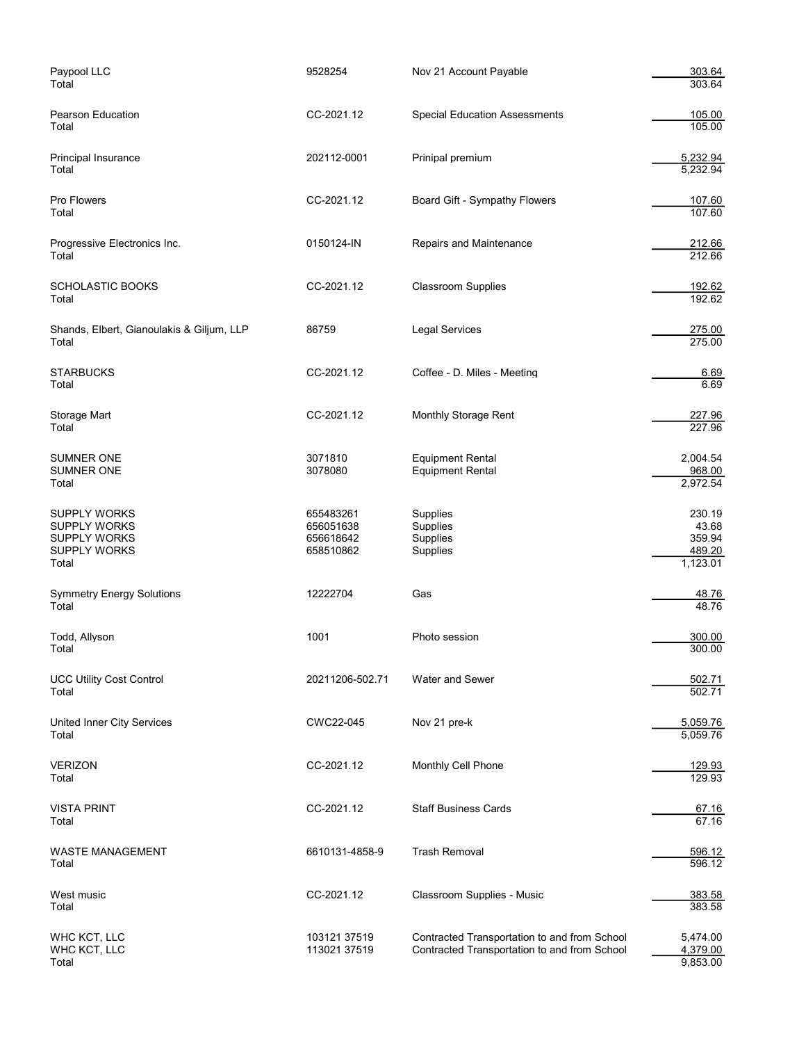| Paypool LLC<br>Total                                                                              | 9528254                                          | Nov 21 Account Payable                                                                       | 303.64<br>303.64                                |
|---------------------------------------------------------------------------------------------------|--------------------------------------------------|----------------------------------------------------------------------------------------------|-------------------------------------------------|
| Pearson Education<br>Total                                                                        | CC-2021.12                                       | <b>Special Education Assessments</b>                                                         | 105.00<br>105.00                                |
| Principal Insurance<br>Total                                                                      | 202112-0001                                      | Prinipal premium                                                                             | 5,232.94<br>5,232.94                            |
| Pro Flowers<br>Total                                                                              | CC-2021.12                                       | Board Gift - Sympathy Flowers                                                                | 107.60<br>107.60                                |
| Progressive Electronics Inc.<br>Total                                                             | 0150124-IN                                       | Repairs and Maintenance                                                                      | 212.66<br>212.66                                |
| <b>SCHOLASTIC BOOKS</b><br>Total                                                                  | CC-2021.12                                       | <b>Classroom Supplies</b>                                                                    | 192.62<br>192.62                                |
| Shands, Elbert, Gianoulakis & Giljum, LLP<br>Total                                                | 86759                                            | <b>Legal Services</b>                                                                        | 275.00<br>275.00                                |
| <b>STARBUCKS</b><br>Total                                                                         | CC-2021.12                                       | Coffee - D. Miles - Meeting                                                                  | 6.69<br>6.69                                    |
| Storage Mart<br>Total                                                                             | CC-2021.12                                       | Monthly Storage Rent                                                                         | 227.96<br>227.96                                |
| SUMNER ONE<br><b>SUMNER ONE</b><br>Total                                                          | 3071810<br>3078080                               | <b>Equipment Rental</b><br><b>Equipment Rental</b>                                           | 2,004.54<br>968.00<br>2,972.54                  |
| <b>SUPPLY WORKS</b><br><b>SUPPLY WORKS</b><br><b>SUPPLY WORKS</b><br><b>SUPPLY WORKS</b><br>Total | 655483261<br>656051638<br>656618642<br>658510862 | Supplies<br>Supplies<br>Supplies<br>Supplies                                                 | 230.19<br>43.68<br>359.94<br>489.20<br>1,123.01 |
| <b>Symmetry Energy Solutions</b><br>Total                                                         | 12222704                                         | Gas                                                                                          | <u>48.76</u><br>48.76                           |
| Todd, Allyson<br>Total                                                                            | 1001                                             | Photo session                                                                                | 300.00<br>300.00                                |
| <b>UCC Utility Cost Control</b><br>Total                                                          | 20211206-502.71                                  | Water and Sewer                                                                              | 502.71<br>502.71                                |
| <b>United Inner City Services</b><br>Total                                                        | CWC22-045                                        | Nov 21 pre-k                                                                                 | 5,059.76<br>5,059.76                            |
| <b>VERIZON</b><br>Total                                                                           | CC-2021.12                                       | Monthly Cell Phone                                                                           | 129.93<br>129.93                                |
| <b>VISTA PRINT</b><br>Total                                                                       | CC-2021.12                                       | <b>Staff Business Cards</b>                                                                  | 67.16<br>67.16                                  |
| WASTE MANAGEMENT<br>Total                                                                         | 6610131-4858-9                                   | <b>Trash Removal</b>                                                                         | 596.12<br>596.12                                |
| West music<br>Total                                                                               | CC-2021.12                                       | Classroom Supplies - Music                                                                   | 383.58<br>383.58                                |
| WHC KCT, LLC<br>WHC KCT, LLC<br>Total                                                             | 103121 37519<br>113021 37519                     | Contracted Transportation to and from School<br>Contracted Transportation to and from School | 5,474.00<br>4,379.00<br>9,853.00                |